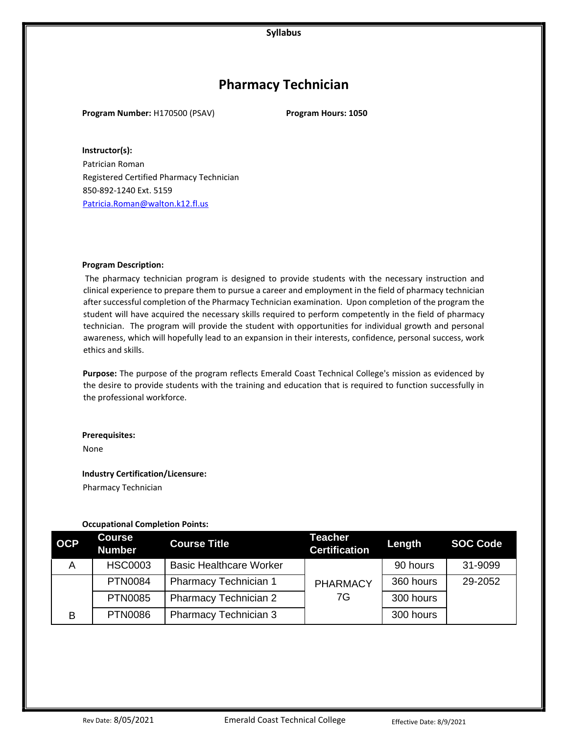# **Pharmacy Technician**

**Program Number:** H170500 (PSAV) **Program Hours: 1050** 

**Instructor(s):**  Patrician Roman Registered Certified Pharmacy Technician 850-892-1240 Ext. 5159 Patricia.Roman@walton.k12.fl.us

#### **Program Description:**

The pharmacy technician program is designed to provide students with the necessary instruction and clinical experience to prepare them to pursue a career and employment in the field of pharmacy technician after successful completion of the Pharmacy Technician examination. Upon completion of the program the student will have acquired the necessary skills required to perform competently in the field of pharmacy technician. The program will provide the student with opportunities for individual growth and personal awareness, which will hopefully lead to an expansion in their interests, confidence, personal success, work ethics and skills.

**Purpose:** The purpose of the program reflects Emerald Coast Technical College's mission as evidenced by the desire to provide students with the training and education that is required to function successfully in the professional workforce.

#### **Prerequisites:**

None

**Industry Certification/Licensure:** 

Pharmacy Technician

## **Occupational Completion Points:**

| <b>OCP</b> | <b>Course</b><br><b>Number</b> | <b>Course Title</b>            | <b>Teacher</b><br><b>Certification</b> | Length    | <b>SOC Code</b> |
|------------|--------------------------------|--------------------------------|----------------------------------------|-----------|-----------------|
| A          | <b>HSC0003</b>                 | <b>Basic Healthcare Worker</b> |                                        | 90 hours  | 31-9099         |
|            | <b>PTN0084</b>                 | Pharmacy Technician 1          | <b>PHARMACY</b>                        | 360 hours | 29-2052         |
|            | <b>PTN0085</b>                 | <b>Pharmacy Technician 2</b>   | 7G                                     | 300 hours |                 |
| B          | <b>PTN0086</b>                 | <b>Pharmacy Technician 3</b>   |                                        | 300 hours |                 |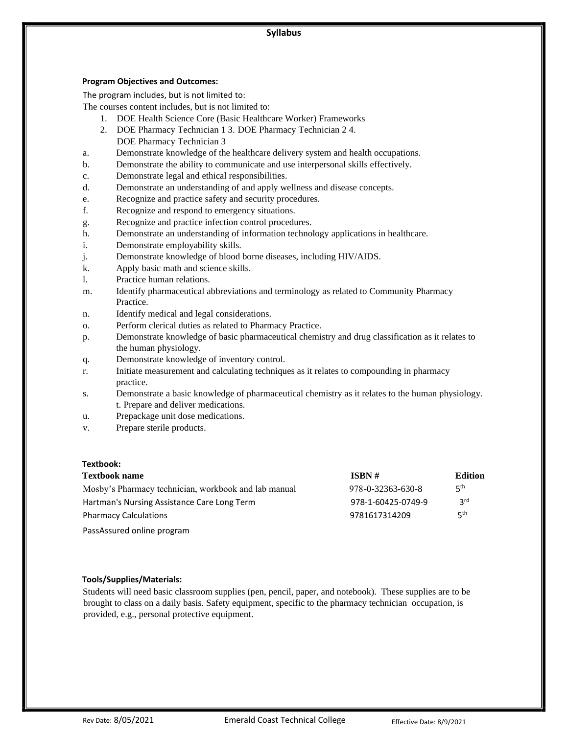#### **Program Objectives and Outcomes:**

The program includes, but is not limited to:

The courses content includes, but is not limited to:

- 1. DOE Health Science Core (Basic Healthcare Worker) Frameworks
- 2. DOE Pharmacy Technician 1 3. DOE Pharmacy Technician 2 4. DOE Pharmacy Technician 3
- a. Demonstrate knowledge of the healthcare delivery system and health occupations.
- b. Demonstrate the ability to communicate and use interpersonal skills effectively.
- c. Demonstrate legal and ethical responsibilities.
- d. Demonstrate an understanding of and apply wellness and disease concepts.
- e. Recognize and practice safety and security procedures.
- f. Recognize and respond to emergency situations.
- g. Recognize and practice infection control procedures.
- h. Demonstrate an understanding of information technology applications in healthcare.
- i. Demonstrate employability skills.
- j. Demonstrate knowledge of blood borne diseases, including HIV/AIDS.
- k. Apply basic math and science skills.
- l. Practice human relations.
- m. Identify pharmaceutical abbreviations and terminology as related to Community Pharmacy Practice.
- n. Identify medical and legal considerations.
- o. Perform clerical duties as related to Pharmacy Practice.
- p. Demonstrate knowledge of basic pharmaceutical chemistry and drug classification as it relates to the human physiology.
- q. Demonstrate knowledge of inventory control.
- r. Initiate measurement and calculating techniques as it relates to compounding in pharmacy practice.
- s. Demonstrate a basic knowledge of pharmaceutical chemistry as it relates to the human physiology. t. Prepare and deliver medications.
- u. Prepackage unit dose medications.
- v. Prepare sterile products.

## **Textbook:**

| <b>Textbook name</b>                                 | ISBN #             | <b>Edition</b>  |
|------------------------------------------------------|--------------------|-----------------|
| Mosby's Pharmacy technician, workbook and lab manual | 978-0-32363-630-8  | 5 <sup>th</sup> |
| Hartman's Nursing Assistance Care Long Term          | 978-1-60425-0749-9 | 3 <sup>rd</sup> |
| <b>Pharmacy Calculations</b>                         | 9781617314209      | 5 <sup>th</sup> |
| PassAssured online program                           |                    |                 |

# **Tools/Supplies/Materials:**

Students will need basic classroom supplies (pen, pencil, paper, and notebook). These supplies are to be brought to class on a daily basis. Safety equipment, specific to the pharmacy technician occupation, is provided, e.g., personal protective equipment.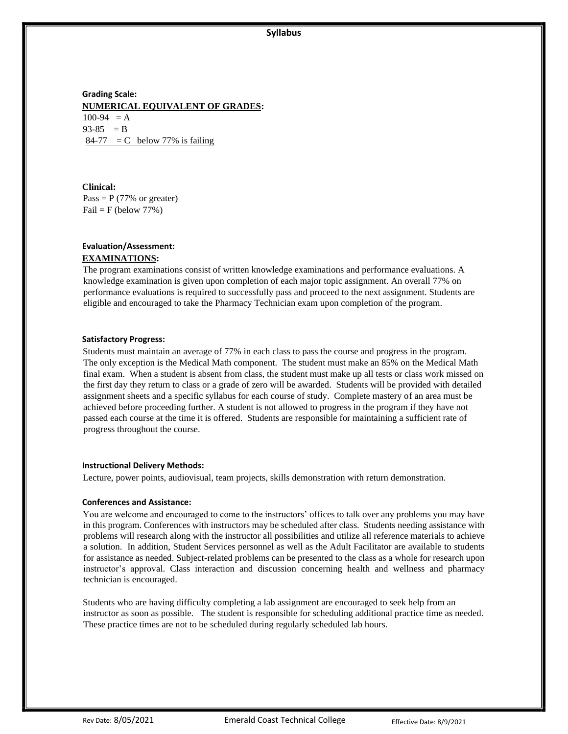**Grading Scale: NUMERICAL EQUIVALENT OF GRADES:**  $100-94 = A$  $93-85 = B$  $84-77 = C$  below 77% is failing

**Clinical:**  Pass =  $P$  (77% or greater)  $Fail = F (below 77%)$ 

# **Evaluation/Assessment: EXAMINATIONS:**

The program examinations consist of written knowledge examinations and performance evaluations. A knowledge examination is given upon completion of each major topic assignment. An overall 77% on performance evaluations is required to successfully pass and proceed to the next assignment. Students are eligible and encouraged to take the Pharmacy Technician exam upon completion of the program.

#### **Satisfactory Progress:**

Students must maintain an average of 77% in each class to pass the course and progress in the program. The only exception is the Medical Math component. The student must make an 85% on the Medical Math final exam. When a student is absent from class, the student must make up all tests or class work missed on the first day they return to class or a grade of zero will be awarded. Students will be provided with detailed assignment sheets and a specific syllabus for each course of study. Complete mastery of an area must be achieved before proceeding further. A student is not allowed to progress in the program if they have not passed each course at the time it is offered. Students are responsible for maintaining a sufficient rate of progress throughout the course.

#### **Instructional Delivery Methods:**

Lecture, power points, audiovisual, team projects, skills demonstration with return demonstration.

## **Conferences and Assistance:**

You are welcome and encouraged to come to the instructors' offices to talk over any problems you may have in this program. Conferences with instructors may be scheduled after class. Students needing assistance with problems will research along with the instructor all possibilities and utilize all reference materials to achieve a solution. In addition, Student Services personnel as well as the Adult Facilitator are available to students for assistance as needed. Subject-related problems can be presented to the class as a whole for research upon instructor's approval. Class interaction and discussion concerning health and wellness and pharmacy technician is encouraged.

Students who are having difficulty completing a lab assignment are encouraged to seek help from an instructor as soon as possible. The student is responsible for scheduling additional practice time as needed. These practice times are not to be scheduled during regularly scheduled lab hours.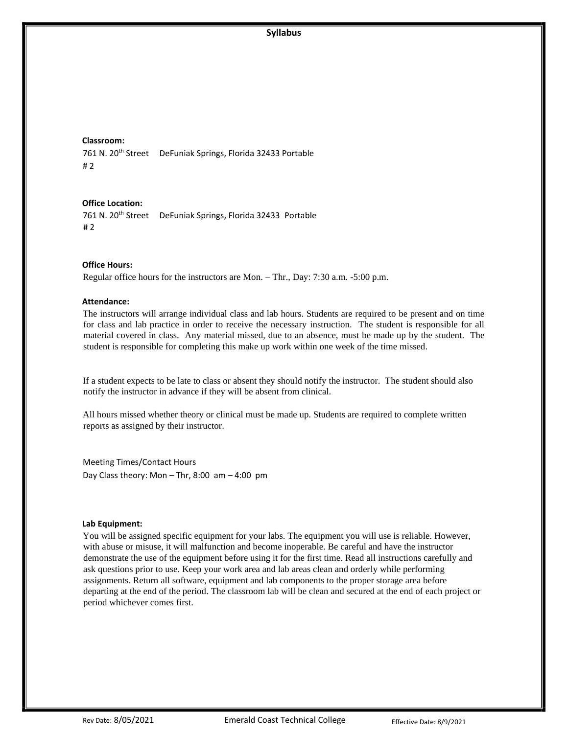#### **Classroom:**

761 N. 20<sup>th</sup> Street DeFuniak Springs, Florida 32433 Portable # 2

#### **Office Location:**

761 N. 20<sup>th</sup> Street DeFuniak Springs, Florida 32433 Portable # 2

#### **Office Hours:**

Regular office hours for the instructors are Mon. – Thr., Day: 7:30 a.m. -5:00 p.m.

#### **Attendance:**

The instructors will arrange individual class and lab hours. Students are required to be present and on time for class and lab practice in order to receive the necessary instruction. The student is responsible for all material covered in class. Any material missed, due to an absence, must be made up by the student. The student is responsible for completing this make up work within one week of the time missed.

If a student expects to be late to class or absent they should notify the instructor. The student should also notify the instructor in advance if they will be absent from clinical.

All hours missed whether theory or clinical must be made up. Students are required to complete written reports as assigned by their instructor.

Meeting Times/Contact Hours Day Class theory: Mon – Thr, 8:00 am – 4:00 pm

#### **Lab Equipment:**

You will be assigned specific equipment for your labs. The equipment you will use is reliable. However, with abuse or misuse, it will malfunction and become inoperable. Be careful and have the instructor demonstrate the use of the equipment before using it for the first time. Read all instructions carefully and ask questions prior to use. Keep your work area and lab areas clean and orderly while performing assignments. Return all software, equipment and lab components to the proper storage area before departing at the end of the period. The classroom lab will be clean and secured at the end of each project or period whichever comes first.